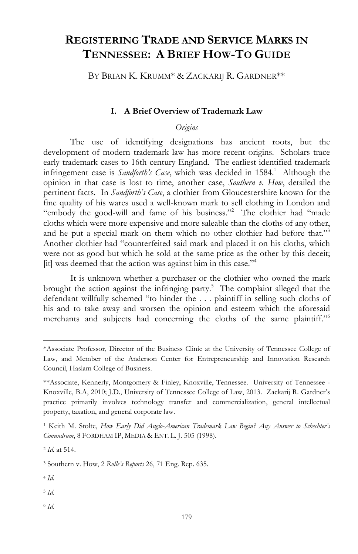# **REGISTERING TRADE AND SERVICE MARKS IN TENNESSEE: A BRIEF HOW-TO GUIDE**

BY BRIAN K. KRUMM\* & ZACKARIJ R. GARDNER\*\*

#### **I. A Brief Overview of Trademark Law**

*Origins*

The use of identifying designations has ancient roots, but the development of modern trademark law has more recent origins. Scholars trace early trademark cases to 16th century England. The earliest identified trademark infringement case is *Sandforth's Case*, which was decided in 1584.<sup>1</sup> Although the opinion in that case is lost to time, another case, *Southern v. How*, detailed the pertinent facts. In *Sandforth's Case*, a clothier from Gloucestershire known for the fine quality of his wares used a well-known mark to sell clothing in London and "embody the good-will and fame of his business."2 The clothier had "made cloths which were more expensive and more saleable than the cloths of any other, and he put a special mark on them which no other clothier had before that."3 Another clothier had "counterfeited said mark and placed it on his cloths, which were not as good but which he sold at the same price as the other by this deceit; [it] was deemed that the action was against him in this case."4

It is unknown whether a purchaser or the clothier who owned the mark brought the action against the infringing party. $5$  The complaint alleged that the defendant willfully schemed "to hinder the . . . plaintiff in selling such cloths of his and to take away and worsen the opinion and esteem which the aforesaid merchants and subjects had concerning the cloths of the same plaintiff."<sup>6</sup>

 $\overline{a}$ 

<sup>6</sup> *Id.*

<sup>\*</sup>Associate Professor, Director of the Business Clinic at the University of Tennessee College of Law, and Member of the Anderson Center for Entrepreneurship and Innovation Research Council, Haslam College of Business.

<sup>\*\*</sup>Associate, Kennerly, Montgomery & Finley, Knoxville, Tennessee. University of Tennessee - Knoxville, B.A, 2010; J.D., University of Tennessee College of Law, 2013. Zackarij R. Gardner's practice primarily involves technology transfer and commercialization, general intellectual property, taxation, and general corporate law.

<sup>1</sup> Keith M. Stolte, *How Early Did Anglo-American Trademark Law Begin? Any Answer to Schechter's Conundrum*, 8 FORDHAM IP, MEDIA & ENT. L. J. 505 (1998).

<sup>2</sup> *Id.* at 514.

<sup>3</sup> Southern v. How, 2 *Rolle's Reports* 26, 71 Eng. Rep. 635.

<sup>4</sup> *Id.*

<sup>5</sup> *Id.*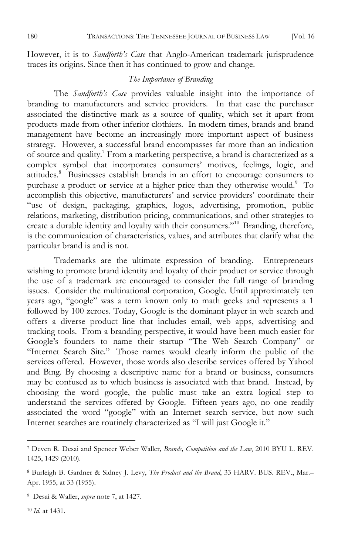However, it is to *Sandforth's Case* that Anglo-American trademark jurisprudence traces its origins. Since then it has continued to grow and change.

#### *The Importance of Branding*

The *Sandforth's Case* provides valuable insight into the importance of branding to manufacturers and service providers. In that case the purchaser associated the distinctive mark as a source of quality, which set it apart from products made from other inferior clothiers. In modern times, brands and brand management have become an increasingly more important aspect of business strategy. However, a successful brand encompasses far more than an indication of source and quality.7 From a marketing perspective, a brand is characterized as a complex symbol that incorporates consumers' motives, feelings, logic, and attitudes.8 Businesses establish brands in an effort to encourage consumers to purchase a product or service at a higher price than they otherwise would.<sup>9</sup> To accomplish this objective, manufacturers' and service providers' coordinate their "use of design, packaging, graphics, logos, advertising, promotion, public relations, marketing, distribution pricing, communications, and other strategies to create a durable identity and loyalty with their consumers."10 Branding, therefore, is the communication of characteristics, values, and attributes that clarify what the particular brand is and is not.

Trademarks are the ultimate expression of branding. Entrepreneurs wishing to promote brand identity and loyalty of their product or service through the use of a trademark are encouraged to consider the full range of branding issues. Consider the multinational corporation, Google. Until approximately ten years ago, "google" was a term known only to math geeks and represents a 1 followed by 100 zeroes. Today, Google is the dominant player in web search and offers a diverse product line that includes email, web apps, advertising and tracking tools. From a branding perspective, it would have been much easier for Google's founders to name their startup "The Web Search Company" or "Internet Search Site." Those names would clearly inform the public of the services offered. However, those words also describe services offered by Yahoo! and Bing. By choosing a descriptive name for a brand or business, consumers may be confused as to which business is associated with that brand. Instead, by choosing the word google, the public must take an extra logical step to understand the services offered by Google. Fifteen years ago, no one readily associated the word "google" with an Internet search service, but now such Internet searches are routinely characterized as "I will just Google it."

<sup>10</sup> *Id*. at 1431.

<sup>7</sup> Deven R. Desai and Spencer Weber Waller*, Brands, Competition and the Law*, 2010 BYU L. REV. 1425, 1429 (2010).

<sup>8</sup> Burleigh B. Gardner & Sidney J. Levy, *The Product and the Brand*, 33 HARV. BUS. REV., Mar.– Apr. 1955, at 33 (1955).

<sup>9</sup> Desai & Waller, *supra* note 7, at 1427.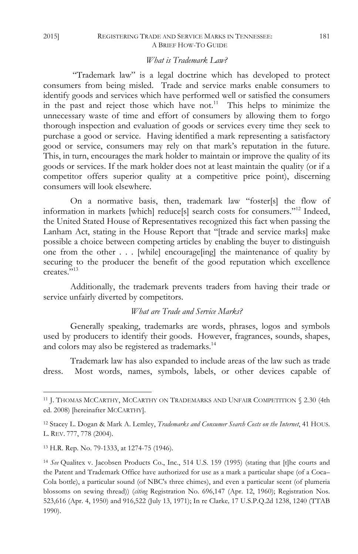#### 2015] REGISTERING TRADE AND SERVICE MARKS IN TENNESSEE: 181 A BRIEF HOW-TO GUIDE

#### *What is Trademark Law?*

"Trademark law" is a legal doctrine which has developed to protect consumers from being misled. Trade and service marks enable consumers to identify goods and services which have performed well or satisfied the consumers in the past and reject those which have not.<sup>11</sup> This helps to minimize the unnecessary waste of time and effort of consumers by allowing them to forgo thorough inspection and evaluation of goods or services every time they seek to purchase a good or service. Having identified a mark representing a satisfactory good or service, consumers may rely on that mark's reputation in the future. This, in turn, encourages the mark holder to maintain or improve the quality of its goods or services. If the mark holder does not at least maintain the quality (or if a competitor offers superior quality at a competitive price point), discerning consumers will look elsewhere.

On a normative basis, then, trademark law "foster[s] the flow of information in markets [which] reduce[s] search costs for consumers."12 Indeed, the United Stated House of Representatives recognized this fact when passing the Lanham Act, stating in the House Report that "[trade and service marks] make possible a choice between competing articles by enabling the buyer to distinguish one from the other . . . [while] encourage[ing] the maintenance of quality by securing to the producer the benefit of the good reputation which excellence creates."13

Additionally, the trademark prevents traders from having their trade or service unfairly diverted by competitors.

#### *What are Trade and Service Marks?*

Generally speaking, trademarks are words, phrases, logos and symbols used by producers to identify their goods. However, fragrances, sounds, shapes, and colors may also be registered as trademarks.<sup>14</sup>

Trademark law has also expanded to include areas of the law such as trade dress. Most words, names, symbols, labels, or other devices capable of

<sup>13</sup> H.R. Rep. No. 79-1333, at 1274-75 (1946).

<sup>11</sup> J. THOMAS MCCARTHY, MCCARTHY ON TRADEMARKS AND UNFAIR COMPETITION § 2.30 (4th ed. 2008) [hereinafter MCCARTHY].

<sup>12</sup> Stacey L. Dogan & Mark A. Lemley, *Trademarks and Consumer Search Costs on the Internet*, 41 HOUS. L. REV. 777, 778 (2004).

<sup>14</sup> *See* Qualitex v. Jacobsen Products Co., Inc., 514 U.S. 159 (1995) (stating that [t]he courts and the Patent and Trademark Office have authorized for use as a mark a particular shape (of a Coca– Cola bottle), a particular sound (of NBC's three chimes), and even a particular scent (of plumeria blossoms on sewing thread)) (*citing* Registration No. 696,147 (Apr. 12, 1960); Registration Nos. 523,616 (Apr. 4, 1950) and 916,522 (July 13, 1971); In re Clarke*,* 17 U.S.P.Q.2d 1238, 1240 (TTAB 1990).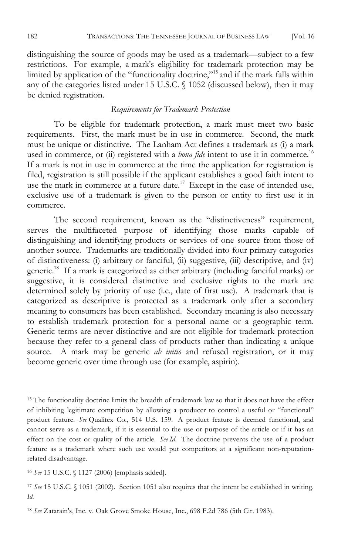distinguishing the source of goods may be used as a trademark—subject to a few restrictions. For example, a mark's eligibility for trademark protection may be limited by application of the "functionality doctrine,"15 and if the mark falls within any of the categories listed under 15 U.S.C. § 1052 (discussed below), then it may be denied registration.

#### *Requirements for Trademark Protection*

To be eligible for trademark protection, a mark must meet two basic requirements. First, the mark must be in use in commerce. Second, the mark must be unique or distinctive. The Lanham Act defines a trademark as (i) a mark used in commerce, or (ii) registered with a *bona fide* intent to use it in commerce.<sup>16</sup> If a mark is not in use in commerce at the time the application for registration is filed, registration is still possible if the applicant establishes a good faith intent to use the mark in commerce at a future date.<sup>17</sup> Except in the case of intended use, exclusive use of a trademark is given to the person or entity to first use it in commerce.

The second requirement, known as the "distinctiveness" requirement, serves the multifaceted purpose of identifying those marks capable of distinguishing and identifying products or services of one source from those of another source. Trademarks are traditionally divided into four primary categories of distinctiveness: (i) arbitrary or fanciful, (ii) suggestive, (iii) descriptive, and (iv) generic.18 If a mark is categorized as either arbitrary (including fanciful marks) or suggestive, it is considered distinctive and exclusive rights to the mark are determined solely by priority of use (i.e., date of first use). A trademark that is categorized as descriptive is protected as a trademark only after a secondary meaning to consumers has been established. Secondary meaning is also necessary to establish trademark protection for a personal name or a geographic term. Generic terms are never distinctive and are not eligible for trademark protection because they refer to a general class of products rather than indicating a unique source. A mark may be generic *ab initio* and refused registration, or it may become generic over time through use (for example, aspirin).

<sup>&</sup>lt;sup>15</sup> The functionality doctrine limits the breadth of trademark law so that it does not have the effect of inhibiting legitimate competition by allowing a producer to control a useful or "functional" product feature. *See* Qualitex Co., 514 U.S. 159. A product feature is deemed functional, and cannot serve as a trademark, if it is essential to the use or purpose of the article or if it has an effect on the cost or quality of the article. *See Id*. The doctrine prevents the use of a product feature as a trademark where such use would put competitors at a significant non-reputationrelated disadvantage.

<sup>16</sup> *See* 15 U.S.C. § 1127 (2006) [emphasis added].

<sup>17</sup> *See* 15 U.S.C. § 1051 (2002). Section 1051 also requires that the intent be established in writing. *Id.*

<sup>18</sup> *See* Zatarain's, Inc. v. Oak Grove Smoke House, Inc., 698 F.2d 786 (5th Cir. 1983).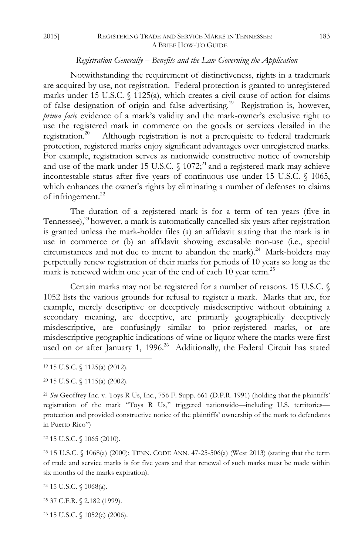#### 2015] REGISTERING TRADE AND SERVICE MARKS IN TENNESSEE: 183 A BRIEF HOW-TO GUIDE

#### *Registration Generally – Benefits and the Law Governing the Application*

Notwithstanding the requirement of distinctiveness, rights in a trademark are acquired by use, not registration. Federal protection is granted to unregistered marks under 15 U.S.C. § 1125(a), which creates a civil cause of action for claims of false designation of origin and false advertising.19 Registration is, however, *prima facie* evidence of a mark's validity and the mark-owner's exclusive right to use the registered mark in commerce on the goods or services detailed in the registration.<sup>20</sup> Although registration is not a prerequisite to federal trademark protection, registered marks enjoy significant advantages over unregistered marks. For example, registration serves as nationwide constructive notice of ownership and use of the mark under 15 U.S.C.  $\S$  1072;<sup>21</sup> and a registered mark may achieve incontestable status after five years of continuous use under 15 U.S.C. § 1065, which enhances the owner's rights by eliminating a number of defenses to claims of infringement.<sup>22</sup>

The duration of a registered mark is for a term of ten years (five in Tennessee), $^{23}$  however, a mark is automatically cancelled six years after registration is granted unless the mark-holder files (a) an affidavit stating that the mark is in use in commerce or (b) an affidavit showing excusable non-use (i.e., special circumstances and not due to intent to abandon the mark).<sup>24</sup> Mark-holders may perpetually renew registration of their marks for periods of 10 years so long as the mark is renewed within one year of the end of each 10 year term.<sup>25</sup>

Certain marks may not be registered for a number of reasons. 15 U.S.C. § 1052 lists the various grounds for refusal to register a mark. Marks that are, for example, merely descriptive or deceptively misdescriptive without obtaining a secondary meaning, are deceptive, are primarily geographically deceptively misdescriptive, are confusingly similar to prior-registered marks, or are misdescriptive geographic indications of wine or liquor where the marks were first used on or after January 1, 1996.<sup>26</sup> Additionally, the Federal Circuit has stated

 $\overline{a}$ 

<sup>22</sup> 15 U.S.C. § 1065 (2010).

<sup>23</sup> 15 U.S.C. § 1068(a) (2000); TENN. CODE ANN. 47-25-506(a) (West 2013) (stating that the term of trade and service marks is for five years and that renewal of such marks must be made within six months of the marks expiration).

<sup>24</sup> 15 U.S.C. § 1068(a).

<sup>25</sup> 37 C.F.R. § 2.182 (1999).

<sup>26</sup> 15 U.S.C. § 1052(e) (2006).

<sup>19</sup> 15 U.S.C. § 1125(a) (2012).

<sup>20</sup> 15 U.S.C. § 1115(a) (2002).

<sup>21</sup> *See* Geoffrey Inc. v. Toys R Us, Inc., 756 F. Supp. 661 (D.P.R. 1991) (holding that the plaintiffs' registration of the mark "Toys R Us," triggered nationwide—including U.S. territories protection and provided constructive notice of the plaintiffs' ownership of the mark to defendants in Puerto Rico")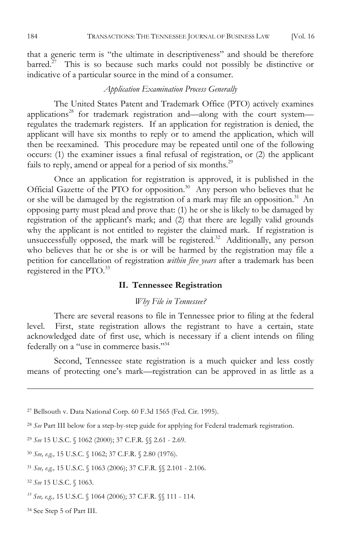that a generic term is "the ultimate in descriptiveness" and should be therefore barred.<sup>27</sup> This is so because such marks could not possibly be distinctive or indicative of a particular source in the mind of a consumer.

### *Application Examination Process Generally*

The United States Patent and Trademark Office (PTO) actively examines applications<sup>28</sup> for trademark registration and—along with the court system regulates the trademark registers. If an application for registration is denied, the applicant will have six months to reply or to amend the application, which will then be reexamined. This procedure may be repeated until one of the following occurs: (1) the examiner issues a final refusal of registration, or (2) the applicant fails to reply, amend or appeal for a period of six months.<sup>29</sup>

Once an application for registration is approved, it is published in the Official Gazette of the PTO for opposition.<sup>30</sup> Any person who believes that he or she will be damaged by the registration of a mark may file an opposition.<sup>31</sup> An opposing party must plead and prove that: (1) he or she is likely to be damaged by registration of the applicant's mark; and (2) that there are legally valid grounds why the applicant is not entitled to register the claimed mark. If registration is unsuccessfully opposed, the mark will be registered.<sup>32</sup> Additionally, any person who believes that he or she is or will be harmed by the registration may file a petition for cancellation of registration *within five years* after a trademark has been registered in the PTO.<sup>33</sup>

#### **II. Tennessee Registration**

#### *Why File in Tennessee?*

There are several reasons to file in Tennessee prior to filing at the federal level. First, state registration allows the registrant to have a certain, state acknowledged date of first use, which is necessary if a client intends on filing federally on a "use in commerce basis."34

Second, Tennessee state registration is a much quicker and less costly means of protecting one's mark—registration can be approved in as little as a

<sup>27</sup> Bellsouth v. Data National Corp. 60 F.3d 1565 (Fed. Cir. 1995).

<sup>28</sup> *See* Part III below for a step-by-step guide for applying for Federal trademark registration.

<sup>29</sup> *See* 15 U.S.C. § 1062 (2000); 37 C.F.R. §§ 2.61 - 2.69.

<sup>30</sup> *See, e.g.,* 15 U.S.C. § 1062; 37 C.F.R. § 2.80 (1976).

<sup>31</sup> *See, e.g.,* 15 U.S.C. § 1063 (2006); 37 C.F.R. §§ 2.101 - 2.106.

<sup>32</sup> *See* 15 U.S.C. § 1063.

 $\overline{a}$ 

*<sup>33</sup> See, e.g.,* 15 U.S.C. § 1064 (2006); 37 C.F.R. §§ 111 - 114.

<sup>34</sup> See Step 5 of Part III.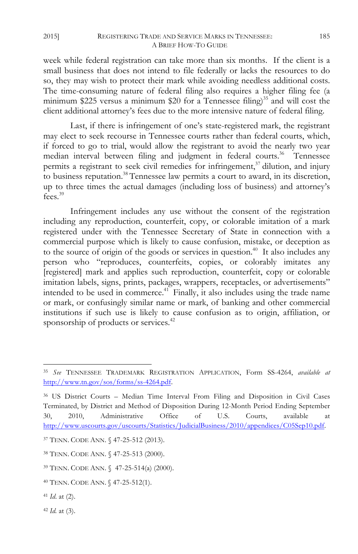#### 2015] REGISTERING TRADE AND SERVICE MARKS IN TENNESSEE: 185 A BRIEF HOW-TO GUIDE

week while federal registration can take more than six months. If the client is a small business that does not intend to file federally or lacks the resources to do so, they may wish to protect their mark while avoiding needless additional costs. The time-consuming nature of federal filing also requires a higher filing fee (a minimum \$225 versus a minimum \$20 for a Tennessee filing)<sup>35</sup> and will cost the client additional attorney's fees due to the more intensive nature of federal filing.

Last, if there is infringement of one's state-registered mark, the registrant may elect to seek recourse in Tennessee courts rather than federal courts, which, if forced to go to trial, would allow the registrant to avoid the nearly two year median interval between filing and judgment in federal courts.<sup>36</sup> Tennessee permits a registrant to seek civil remedies for infringement,<sup>37</sup> dilution, and injury to business reputation.38 Tennessee law permits a court to award, in its discretion, up to three times the actual damages (including loss of business) and attorney's fees.<sup>39</sup>

Infringement includes any use without the consent of the registration including any reproduction, counterfeit, copy, or colorable imitation of a mark registered under with the Tennessee Secretary of State in connection with a commercial purpose which is likely to cause confusion, mistake, or deception as to the source of origin of the goods or services in question.<sup>40</sup> It also includes any person who "reproduces, counterfeits, copies, or colorably imitates any [registered] mark and applies such reproduction, counterfeit, copy or colorable imitation labels, signs, prints, packages, wrappers, receptacles, or advertisements" intended to be used in commerce.41 Finally, it also includes using the trade name or mark, or confusingly similar name or mark, of banking and other commercial institutions if such use is likely to cause confusion as to origin, affiliation, or sponsorship of products or services.<sup>42</sup>

<sup>41</sup> *Id*. at (2).

 $\overline{a}$ 

<sup>42</sup> *Id.* at (3).

<sup>35</sup> *See* TENNESSEE TRADEMARK REGISTRATION APPLICATION, Form SS-4264, *available at* http://www.tn.gov/sos/forms/ss-4264.pdf.

<sup>36</sup> US District Courts – Median Time Interval From Filing and Disposition in Civil Cases Terminated, by District and Method of Disposition During 12-Month Period Ending September 30, 2010, Administrative Office of U.S. Courts, available at http://www.uscourts.gov/uscourts/Statistics/JudicialBusiness/2010/appendices/C05Sep10.pdf.

<sup>37</sup> TENN. CODE ANN. § 47-25-512 (2013).

<sup>38</sup> TENN. CODE ANN. § 47-25-513 (2000).

<sup>39</sup> TENN. CODE ANN. § 47-25-514(a) (2000).

<sup>40</sup> TENN. CODE ANN. § 47-25-512(1).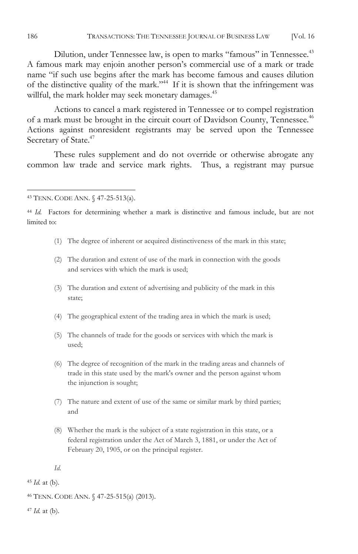Dilution, under Tennessee law, is open to marks "famous" in Tennessee.<sup>43</sup> A famous mark may enjoin another person's commercial use of a mark or trade name "if such use begins after the mark has become famous and causes dilution of the distinctive quality of the mark."44 If it is shown that the infringement was willful, the mark holder may seek monetary damages.<sup>45</sup>

Actions to cancel a mark registered in Tennessee or to compel registration of a mark must be brought in the circuit court of Davidson County, Tennessee.<sup>46</sup> Actions against nonresident registrants may be served upon the Tennessee Secretary of State.<sup>47</sup>

These rules supplement and do not override or otherwise abrogate any common law trade and service mark rights. Thus, a registrant may pursue

- (1) The degree of inherent or acquired distinctiveness of the mark in this state;
- (2) The duration and extent of use of the mark in connection with the goods and services with which the mark is used;
- (3) The duration and extent of advertising and publicity of the mark in this state;
- (4) The geographical extent of the trading area in which the mark is used;
- (5) The channels of trade for the goods or services with which the mark is used;
- (6) The degree of recognition of the mark in the trading areas and channels of trade in this state used by the mark's owner and the person against whom the injunction is sought;
- (7) The nature and extent of use of the same or similar mark by third parties; and
- (8) Whether the mark is the subject of a state registration in this state, or a federal registration under the Act of March 3, 1881, or under the Act of February 20, 1905, or on the principal register.

*Id.*

 $45$  *Id.* at (b).

<sup>47</sup> *Id.* at (b).

<sup>43</sup> TENN. CODE ANN. § 47-25-513(a).

<sup>44</sup> *Id.* Factors for determining whether a mark is distinctive and famous include, but are not limited to:

<sup>46</sup> TENN. CODE ANN. § 47-25-515(a) (2013).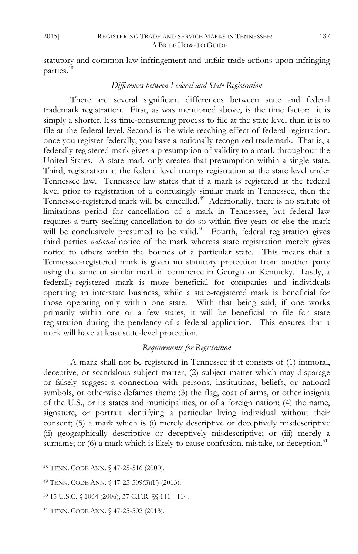statutory and common law infringement and unfair trade actions upon infringing parties.<sup>48</sup>

#### *Differences between Federal and State Registration*

There are several significant differences between state and federal trademark registration. First, as was mentioned above, is the time factor: it is simply a shorter, less time-consuming process to file at the state level than it is to file at the federal level. Second is the wide-reaching effect of federal registration: once you register federally, you have a nationally recognized trademark. That is, a federally registered mark gives a presumption of validity to a mark throughout the United States. A state mark only creates that presumption within a single state. Third, registration at the federal level trumps registration at the state level under Tennessee law. Tennessee law states that if a mark is registered at the federal level prior to registration of a confusingly similar mark in Tennessee, then the Tennessee-registered mark will be cancelled.<sup>49</sup> Additionally, there is no statute of limitations period for cancellation of a mark in Tennessee, but federal law requires a party seeking cancellation to do so within five years or else the mark will be conclusively presumed to be valid.<sup>50</sup> Fourth, federal registration gives third parties *national* notice of the mark whereas state registration merely gives notice to others within the bounds of a particular state. This means that a Tennessee-registered mark is given no statutory protection from another party using the same or similar mark in commerce in Georgia or Kentucky. Lastly, a federally-registered mark is more beneficial for companies and individuals operating an interstate business, while a state-registered mark is beneficial for those operating only within one state. With that being said, if one works primarily within one or a few states, it will be beneficial to file for state registration during the pendency of a federal application. This ensures that a mark will have at least state-level protection.

#### *Requirements for Registration*

A mark shall not be registered in Tennessee if it consists of (1) immoral, deceptive, or scandalous subject matter; (2) subject matter which may disparage or falsely suggest a connection with persons, institutions, beliefs, or national symbols, or otherwise defames them; (3) the flag, coat of arms, or other insignia of the U.S., or its states and municipalities, or of a foreign nation; (4) the name, signature, or portrait identifying a particular living individual without their consent; (5) a mark which is (i) merely descriptive or deceptively misdescriptive (ii) geographically descriptive or deceptively misdescriptive; or (iii) merely a surname; or  $(6)$  a mark which is likely to cause confusion, mistake, or deception.<sup>51</sup>

<sup>48</sup> TENN. CODE ANN. § 47-25-516 (2000).

<sup>49</sup> TENN. CODE ANN. § 47-25-509(3)(F) (2013).

<sup>50</sup> 15 U.S.C. § 1064 (2006); 37 C.F.R. §§ 111 - 114.

<sup>51</sup> TENN. CODE ANN. § 47-25-502 (2013).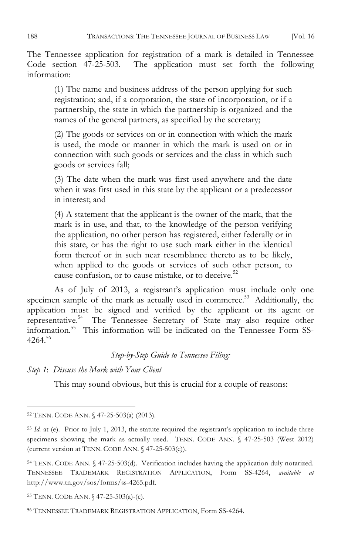The Tennessee application for registration of a mark is detailed in Tennessee Code section 47-25-503. The application must set forth the following information:

(1) The name and business address of the person applying for such registration; and, if a corporation, the state of incorporation, or if a partnership, the state in which the partnership is organized and the names of the general partners, as specified by the secretary;

(2) The goods or services on or in connection with which the mark is used, the mode or manner in which the mark is used on or in connection with such goods or services and the class in which such goods or services fall;

(3) The date when the mark was first used anywhere and the date when it was first used in this state by the applicant or a predecessor in interest; and

(4) A statement that the applicant is the owner of the mark, that the mark is in use, and that, to the knowledge of the person verifying the application, no other person has registered, either federally or in this state, or has the right to use such mark either in the identical form thereof or in such near resemblance thereto as to be likely, when applied to the goods or services of such other person, to cause confusion, or to cause mistake, or to deceive.<sup>52</sup>

As of July of 2013, a registrant's application must include only one specimen sample of the mark as actually used in commerce.<sup>53</sup> Additionally, the application must be signed and verified by the applicant or its agent or representative.54 The Tennessee Secretary of State may also require other information.55 This information will be indicated on the Tennessee Form SS- $4264^{56}$ 

#### *Step-by-Step Guide to Tennessee Filing:*

*Step 1*: *Discuss the Mark with Your Client*

This may sound obvious, but this is crucial for a couple of reasons:

 $\overline{a}$ <sup>52</sup> TENN. CODE ANN. § 47-25-503(a) (2013).

<sup>&</sup>lt;sup>53</sup> *Id.* at (e). Prior to July 1, 2013, the statute required the registrant's application to include three specimens showing the mark as actually used. TENN. CODE ANN. § 47-25-503 (West 2012) (current version at TENN. CODE ANN. § 47-25-503(e)).

<sup>54</sup> TENN. CODE ANN. § 47-25-503(d). Verification includes having the application duly notarized. TENNESSEE TRADEMARK REGISTRATION APPLICATION, Form SS-4264, *available at*  http://www.tn.gov/sos/forms/ss-4265.pdf.

<sup>55</sup> TENN. CODE ANN. § 47-25-503(a)-(c).

<sup>56</sup> TENNESSEE TRADEMARK REGISTRATION APPLICATION, Form SS-4264.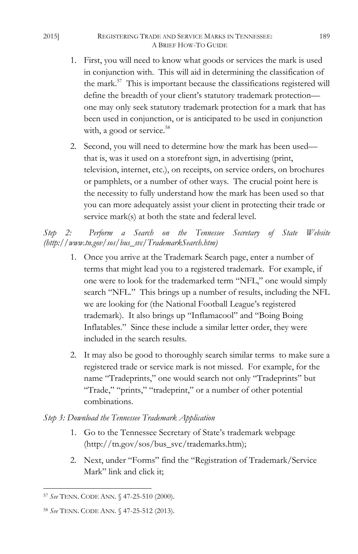#### 2015] REGISTERING TRADE AND SERVICE MARKS IN TENNESSEE: 189 A BRIEF HOW-TO GUIDE

- 1. First, you will need to know what goods or services the mark is used in conjunction with. This will aid in determining the classification of the mark.<sup>57</sup> This is important because the classifications registered will define the breadth of your client's statutory trademark protection one may only seek statutory trademark protection for a mark that has been used in conjunction, or is anticipated to be used in conjunction with, a good or service.<sup>58</sup>
- 2. Second, you will need to determine how the mark has been used that is, was it used on a storefront sign, in advertising (print, television, internet, etc.), on receipts, on service orders, on brochures or pamphlets, or a number of other ways. The crucial point here is the necessity to fully understand how the mark has been used so that you can more adequately assist your client in protecting their trade or service mark(s) at both the state and federal level.

*Step 2: Perform a Search on the Tennessee Secretary of State Website (http://www.tn.gov/sos/bus\_svc/TrademarkSearch.htm)*

- 1. Once you arrive at the Trademark Search page, enter a number of terms that might lead you to a registered trademark. For example, if one were to look for the trademarked term "NFL," one would simply search "NFL." This brings up a number of results, including the NFL we are looking for (the National Football League's registered trademark). It also brings up "Inflamacool" and "Boing Boing Inflatables." Since these include a similar letter order, they were included in the search results.
- 2. It may also be good to thoroughly search similar terms to make sure a registered trade or service mark is not missed. For example, for the name "Tradeprints," one would search not only "Tradeprints" but "Trade," "prints," "tradeprint," or a number of other potential combinations.

### *Step 3: Download the Tennessee Trademark Application*

- 1. Go to the Tennessee Secretary of State's trademark webpage (http://tn.gov/sos/bus\_svc/trademarks.htm);
- 2. Next, under "Forms" find the "Registration of Trademark/Service Mark" link and click it;

 $\overline{a}$ <sup>57</sup> *See* TENN. CODE ANN. § 47-25-510 (2000).

<sup>58</sup> *See* TENN. CODE ANN. § 47-25-512 (2013).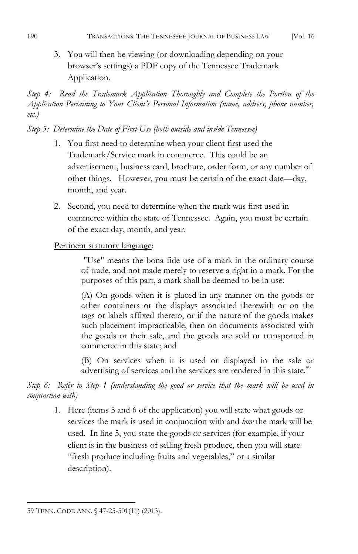3. You will then be viewing (or downloading depending on your browser's settings) a PDF copy of the Tennessee Trademark Application.

*Step 4: Read the Trademark Application Thoroughly and Complete the Portion of the Application Pertaining to Your Client's Personal Information (name, address, phone number, etc.)* 

### *Step 5: Determine the Date of First Use (both outside and inside Tennessee)*

- 1. You first need to determine when your client first used the Trademark/Service mark in commerce. This could be an advertisement, business card, brochure, order form, or any number of other things. However, you must be certain of the exact date—day, month, and year.
- 2. Second, you need to determine when the mark was first used in commerce within the state of Tennessee. Again, you must be certain of the exact day, month, and year.

### Pertinent statutory language:

"Use" means the bona fide use of a mark in the ordinary course of trade, and not made merely to reserve a right in a mark. For the purposes of this part, a mark shall be deemed to be in use:

(A) On goods when it is placed in any manner on the goods or other containers or the displays associated therewith or on the tags or labels affixed thereto, or if the nature of the goods makes such placement impracticable, then on documents associated with the goods or their sale, and the goods are sold or transported in commerce in this state; and

(B) On services when it is used or displayed in the sale or advertising of services and the services are rendered in this state.<sup>59</sup>

## *Step 6: Refer to Step 1 (understanding the good or service that the mark will be used in conjunction with)*

1. Here (items 5 and 6 of the application) you will state what goods or services the mark is used in conjunction with and *how* the mark will be used. In line 5, you state the goods or services (for example, if your client is in the business of selling fresh produce, then you will state "fresh produce including fruits and vegetables," or a similar description).

 $\overline{a}$ 59 TENN. CODE ANN. § 47-25-501(11) (2013).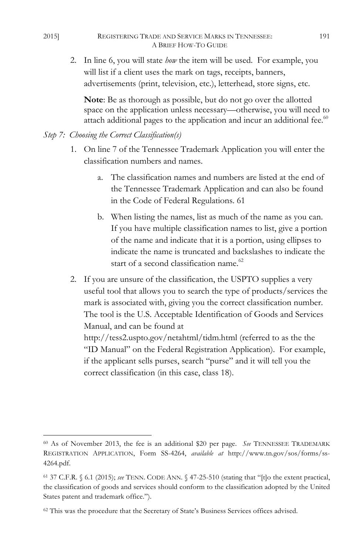2. In line 6, you will state *how* the item will be used. For example, you will list if a client uses the mark on tags, receipts, banners, advertisements (print, television, etc.), letterhead, store signs, etc.

**Note**: Be as thorough as possible, but do not go over the allotted space on the application unless necessary—otherwise, you will need to attach additional pages to the application and incur an additional fee.<sup>60</sup>

- *Step 7: Choosing the Correct Classification(s)*
	- 1. On line 7 of the Tennessee Trademark Application you will enter the classification numbers and names.
		- a. The classification names and numbers are listed at the end of the Tennessee Trademark Application and can also be found in the Code of Federal Regulations. 61
		- b. When listing the names, list as much of the name as you can. If you have multiple classification names to list, give a portion of the name and indicate that it is a portion, using ellipses to indicate the name is truncated and backslashes to indicate the start of a second classification name.<sup>62</sup>
	- 2. If you are unsure of the classification, the USPTO supplies a very useful tool that allows you to search the type of products/services the mark is associated with, giving you the correct classification number. The tool is the U.S. Acceptable Identification of Goods and Services Manual, and can be found at http://tess2.uspto.gov/netahtml/tidm.html (referred to as the the "ID Manual" on the Federal Registration Application). For example, if the applicant sells purses, search "purse" and it will tell you the correct classification (in this case, class 18).

<sup>60</sup> As of November 2013, the fee is an additional \$20 per page. *See* TENNESSEE TRADEMARK REGISTRATION APPLICATION, Form SS-4264, *available at* http://www.tn.gov/sos/forms/ss-4264.pdf.

<sup>61</sup> 37 C.F.R. § 6.1 (2015); *see* TENN. CODE ANN. § 47-25-510 (stating that "[t]o the extent practical, the classification of goods and services should conform to the classification adopted by the United States patent and trademark office.").

<sup>62</sup> This was the procedure that the Secretary of State's Business Services offices advised.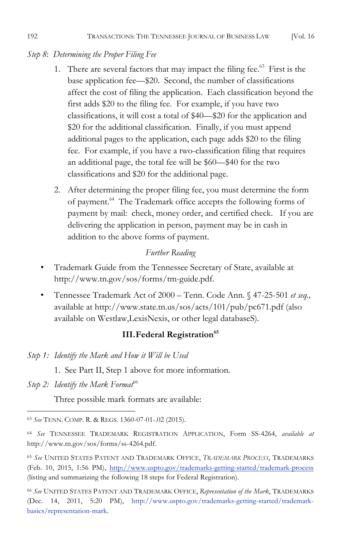### *Step 8*: *Determining the Proper Filing Fee*

- 1. There are several factors that may impact the filing fee.<sup>63</sup> First is the base application fee—\$20. Second, the number of classifications affect the cost of filing the application. Each classification beyond the first adds \$20 to the filing fee. For example, if you have two classifications, it will cost a total of \$40—\$20 for the application and \$20 for the additional classification. Finally, if you must append additional pages to the application, each page adds \$20 to the filing fee. For example, if you have a two-classification filing that requires an additional page, the total fee will be \$60—\$40 for the two classifications and \$20 for the additional page.
- 2. After determining the proper filing fee, you must determine the form of payment.64 The Trademark office accepts the following forms of payment by mail: check, money order, and certified check. If you are delivering the application in person, payment may be in cash in addition to the above forms of payment.

### *Further Reading*

- Trademark Guide from the Tennessee Secretary of State, available at http://www.tn.gov/sos/forms/tm-guide.pdf.
- Tennessee Trademark Act of 2000 Tenn. Code Ann. § 47-25-501 *et seq.,* available at http://www.state.tn.us/sos/acts/101/pub/pc671.pdf (also available on Westlaw,LexisNexis, or other legal databaseS).

## **III. Federal Registration**<sup>65</sup>

- *Step 1: Identify the Mark and How it Will be Used*
	- 1. See Part II, Step 1 above for more information.
- *Step 2: Identify the Mark Format*<sup>66</sup>

 $\overline{a}$ 

Three possible mark formats are available:

<sup>63</sup> *See* TENN. COMP. R. & REGS. 1360-07-01-.02 (2015).

<sup>64</sup> *See* TENNESSEE TRADEMARK REGISTRATION APPLICATION, Form SS-4264, *available at* http://www.tn.gov/sos/forms/ss-4264.pdf.

<sup>65</sup> *See* UNITED STATES PATENT AND TRADEMARK OFFICE, *TRADEMARK PROCESS*, TRADEMARKS (Feb. 10, 2015, 1:56 PM), http://www.uspto.gov/trademarks-getting-started/trademark-process (listing and summarizing the following 18 steps for Federal Registration).

<sup>66</sup> *See* UNITED STATES PATENT AND TRADEMARK OFFICE, *Representation of the Mark*, TRADEMARKS (Dec. 14, 2011, 5:20 PM), http://www.uspto.gov/trademarks-getting-started/trademarkbasics/representation-mark.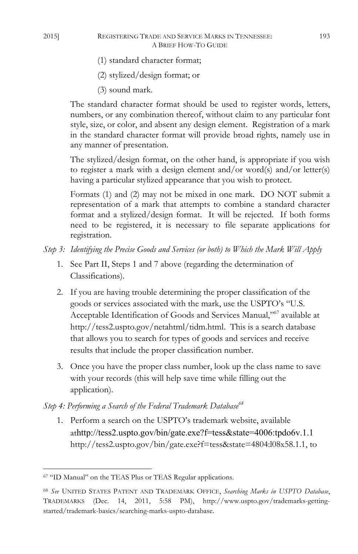- (1) standard character format;
- (2) stylized/design format; or
- (3) sound mark.

The standard character format should be used to register words, letters, numbers, or any combination thereof, without claim to any particular font style, size, or color, and absent any design element. Registration of a mark in the standard character format will provide broad rights, namely use in any manner of presentation.

The stylized/design format, on the other hand, is appropriate if you wish to register a mark with a design element and/or word(s) and/or letter(s) having a particular stylized appearance that you wish to protect.

Formats (1) and (2) may not be mixed in one mark. DO NOT submit a representation of a mark that attempts to combine a standard character format and a stylized/design format. It will be rejected. If both forms need to be registered, it is necessary to file separate applications for registration.

- *Step 3: Identifying the Precise Goods and Services (or both) to Which the Mark Will Apply*
	- 1. See Part II, Steps 1 and 7 above (regarding the determination of Classifications).
	- 2. If you are having trouble determining the proper classification of the goods or services associated with the mark, use the USPTO's "U.S. Acceptable Identification of Goods and Services Manual,"<sup>67</sup> available at http://tess2.uspto.gov/netahtml/tidm.html. This is a search database that allows you to search for types of goods and services and receive results that include the proper classification number.
	- 3. Once you have the proper class number, look up the class name to save with your records (this will help save time while filling out the application).

*Step 4: Performing a Search of the Federal Trademark Database*<sup>68</sup>

1. Perform a search on the USPTO's trademark website, available athttp://tess2.uspto.gov/bin/gate.exe?f=tess&state=4006:tpdo6v.1.1 http://tess2.uspto.gov/bin/gate.exe?f=tess&state=4804:l08x58.1.1, to

 $^{67}$  "ID Manual" on the TEAS Plus or TEAS Regular applications.

<sup>68</sup> *See* UNITED STATES PATENT AND TRADEMARK OFFICE, *Searching Marks in USPTO Database*, TRADEMARKS (Dec. 14, 2011, 5:58 PM), http://www.uspto.gov/trademarks-gettingstarted/trademark-basics/searching-marks-uspto-database.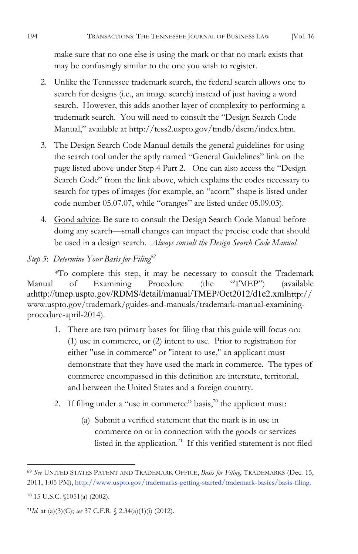make sure that no one else is using the mark or that no mark exists that may be confusingly similar to the one you wish to register.

- 2. Unlike the Tennessee trademark search, the federal search allows one to search for designs (i.e., an image search) instead of just having a word search. However, this adds another layer of complexity to performing a trademark search. You will need to consult the "Design Search Code Manual," available at http://tess2.uspto.gov/tmdb/dscm/index.htm.
- 3. The Design Search Code Manual details the general guidelines for using the search tool under the aptly named "General Guidelines" link on the page listed above under Step 4 Part 2. One can also access the "Design Search Code" from the link above, which explains the codes necessary to search for types of images (for example, an "acorn" shape is listed under code number 05.07.07, while "oranges" are listed under 05.09.03).
- 4. Good advice: Be sure to consult the Design Search Code Manual before doing any search—small changes can impact the precise code that should be used in a design search. *Always consult the Design Search Code Manual.*
- *Step 5*: *Determine Your Basis for Filing69*

*\**To complete this step, it may be necessary to consult the Trademark Manual of Examining Procedure (the "TMEP") (available athttp://tmep.uspto.gov/RDMS/detail/manual/TMEP/Oct2012/d1e2.xmlhttp:// www.uspto.gov/trademark/guides-and-manuals/trademark-manual-examiningprocedure-april-2014).

- 1. There are two primary bases for filing that this guide will focus on: (1) use in commerce, or (2) intent to use. Prior to registration for either "use in commerce" or "intent to use," an applicant must demonstrate that they have used the mark in commerce. The types of commerce encompassed in this definition are interstate, territorial, and between the United States and a foreign country.
- 2. If filing under a "use in commerce" basis, $\bar{a}$ " the applicant must:
	- (a) Submit a verified statement that the mark is in use in commerce on or in connection with the goods or services listed in the application.<sup>71</sup> If this verified statement is not filed

<sup>69</sup> *See* UNITED STATES PATENT AND TRADEMARK OFFICE, *Basis for Filing*, TRADEMARKS (Dec. 15, 2011, 1:05 PM), http://www.uspto.gov/trademarks-getting-started/trademark-basics/basis-filing.

<sup>70</sup> 15 U.S.C. §1051(a) (2002).

<sup>71</sup>*Id.* at (a)(3)(C); *see* 37 C.F.R. § 2.34(a)(1)(i) (2012).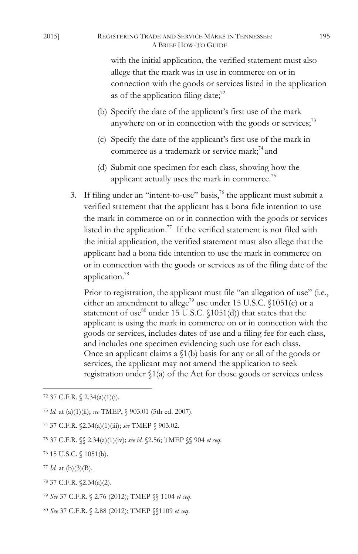#### 2015] REGISTERING TRADE AND SERVICE MARKS IN TENNESSEE: 195 A BRIEF HOW-TO GUIDE

with the initial application, the verified statement must also allege that the mark was in use in commerce on or in connection with the goods or services listed in the application as of the application filing date; $72$ 

- (b) Specify the date of the applicant's first use of the mark anywhere on or in connection with the goods or services;<sup>73</sup>
- (c) Specify the date of the applicant's first use of the mark in commerce as a trademark or service mark; $^{74}$  and
- (d) Submit one specimen for each class, showing how the applicant actually uses the mark in commerce.<sup>75</sup>
- 3. If filing under an "intent-to-use" basis, $\frac{7}{6}$  the applicant must submit a verified statement that the applicant has a bona fide intention to use the mark in commerce on or in connection with the goods or services listed in the application.<sup>77</sup> If the verified statement is not filed with the initial application, the verified statement must also allege that the applicant had a bona fide intention to use the mark in commerce on or in connection with the goods or services as of the filing date of the application.78

Prior to registration, the applicant must file "an allegation of use" (i.e., either an amendment to allege<sup>79</sup> use under 15 U.S.C. §1051(c) or a statement of use $^{80}$  under 15 U.S.C.  $(1051(d))$  that states that the applicant is using the mark in commerce on or in connection with the goods or services, includes dates of use and a filing fee for each class, and includes one specimen evidencing such use for each class. Once an applicant claims a §1(b) basis for any or all of the goods or services, the applicant may not amend the application to seek registration under  $\Im(1(a)$  of the Act for those goods or services unless

- <sup>77</sup> *Id.* at (b)(3)(B).
- <sup>78</sup> 37 C.F.R. §2.34(a)(2).
- <sup>79</sup> *See* 37 C.F.R. § 2.76 (2012); TMEP §§ 1104 *et seq*.
- <sup>80</sup> *See* 37 C.F.R. § 2.88 (2012); TMEP §§1109 *et seq*.

<sup>72 37</sup> C.F.R.  $\{(2.34(a)(1)(i))\}$ .

<sup>73</sup> *Id.* at (a)(1)(ii); *see* TMEP, § 903.01 (5th ed. 2007).

<sup>74</sup> 37 C.F.R. §2.34(a)(1)(iii); *see* TMEP § 903.02.

<sup>75</sup> 37 C.F.R. §§ 2.34(a)(1)(iv); *see id.* §2.56; TMEP §§ 904 *et seq*.

<sup>76</sup> 15 U.S.C. § 1051(b).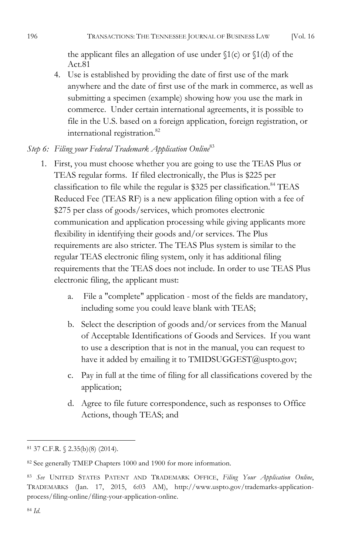the applicant files an allegation of use under  $(1(c)$  or  $(1(d))$  of the Act.81

4. Use is established by providing the date of first use of the mark anywhere and the date of first use of the mark in commerce, as well as submitting a specimen (example) showing how you use the mark in commerce. Under certain international agreements, it is possible to file in the U.S. based on a foreign application, foreign registration, or international registration.<sup>82</sup>

## *Step 6: Filing your Federal Trademark Application Online*<sup>83</sup>

- 1. First, you must choose whether you are going to use the TEAS Plus or TEAS regular forms. If filed electronically, the Plus is \$225 per classification to file while the regular is \$325 per classification.<sup>84</sup> TEAS Reduced Fee (TEAS RF) is a new application filing option with a fee of \$275 per class of goods/services, which promotes electronic communication and application processing while giving applicants more flexibility in identifying their goods and/or services. The Plus requirements are also stricter. The TEAS Plus system is similar to the regular TEAS electronic filing system, only it has additional filing requirements that the TEAS does not include. In order to use TEAS Plus electronic filing, the applicant must:
	- a. File a "complete" application most of the fields are mandatory, including some you could leave blank with TEAS;
	- b. Select the description of goods and/or services from the Manual of Acceptable Identifications of Goods and Services. If you want to use a description that is not in the manual, you can request to have it added by emailing it to TMIDSUGGEST@uspto.gov;
	- c. Pay in full at the time of filing for all classifications covered by the application;
	- d. Agree to file future correspondence, such as responses to Office Actions, though TEAS; and

<sup>81</sup> 37 C.F.R. § 2.35(b)(8) (2014).

<sup>82</sup> See generally TMEP Chapters 1000 and 1900 for more information.

<sup>83</sup> *See* UNITED STATES PATENT AND TRADEMARK OFFICE, *Filing Your Application Online*, TRADEMARKS (Jan. 17, 2015, 6:03 AM), http://www.uspto.gov/trademarks-applicationprocess/filing-online/filing-your-application-online.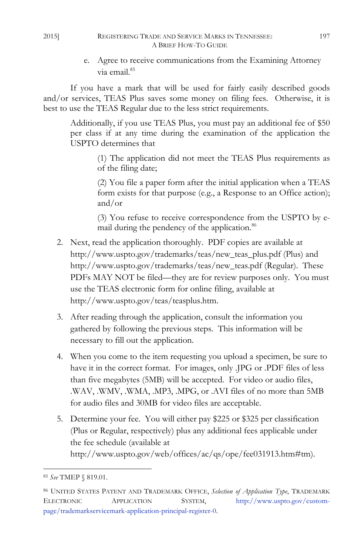#### 2015] REGISTERING TRADE AND SERVICE MARKS IN TENNESSEE: 197 A BRIEF HOW-TO GUIDE

e. Agree to receive communications from the Examining Attorney via email.<sup>85</sup>

If you have a mark that will be used for fairly easily described goods and/or services, TEAS Plus saves some money on filing fees. Otherwise, it is best to use the TEAS Regular due to the less strict requirements.

Additionally, if you use TEAS Plus, you must pay an additional fee of \$50 per class if at any time during the examination of the application the USPTO determines that

> (1) The application did not meet the TEAS Plus requirements as of the filing date;

> (2) You file a paper form after the initial application when a TEAS form exists for that purpose (e.g., a Response to an Office action); and/or

> (3) You refuse to receive correspondence from the USPTO by email during the pendency of the application.<sup>86</sup>

- 2. Next, read the application thoroughly. PDF copies are available at http://www.uspto.gov/trademarks/teas/new\_teas\_plus.pdf (Plus) and http://www.uspto.gov/trademarks/teas/new\_teas.pdf (Regular). These PDFs MAY NOT be filed—they are for review purposes only. You must use the TEAS electronic form for online filing, available at http://www.uspto.gov/teas/teasplus.htm.
- 3. After reading through the application, consult the information you gathered by following the previous steps. This information will be necessary to fill out the application.
- 4. When you come to the item requesting you upload a specimen, be sure to have it in the correct format. For images, only .JPG or .PDF files of less than five megabytes (5MB) will be accepted. For video or audio files, .WAV, .WMV, .WMA, .MP3, .MPG, or .AVI files of no more than 5MB for audio files and 30MB for video files are acceptable.
- 5. Determine your fee. You will either pay \$225 or \$325 per classification (Plus or Regular, respectively) plus any additional fees applicable under the fee schedule (available at http://www.uspto.gov/web/offices/ac/qs/ope/fee031913.htm#tm).

<sup>85</sup> *See* TMEP § 819.01.

<sup>86</sup> UNITED STATES PATENT AND TRADEMARK OFFICE, *Selection of Application Type*, TRADEMARK ELECTRONIC APPLICATION SYSTEM, http://www.uspto.gov/custompage/trademarkservicemark-application-principal-register-0.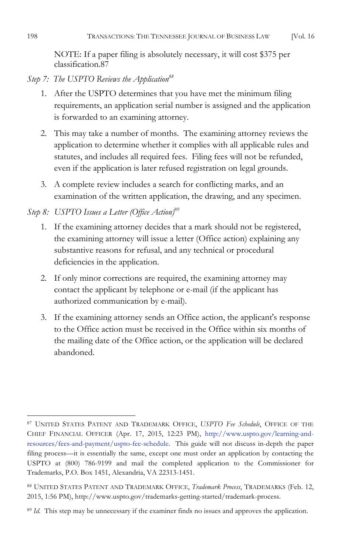NOTE: If a paper filing is absolutely necessary, it will cost \$375 per classification.87

Step 7: The USPTO Reviews the Application<sup>88</sup>

- 1. After the USPTO determines that you have met the minimum filing requirements, an application serial number is assigned and the application is forwarded to an examining attorney.
- 2. This may take a number of months. The examining attorney reviews the application to determine whether it complies with all applicable rules and statutes, and includes all required fees. Filing fees will not be refunded, even if the application is later refused registration on legal grounds.
- 3. A complete review includes a search for conflicting marks, and an examination of the written application, the drawing, and any specimen.

## *Step 8: USPTO Issues a Letter (Office Action)*<sup>89</sup>

- 1. If the examining attorney decides that a mark should not be registered, the examining attorney will issue a letter (Office action) explaining any substantive reasons for refusal, and any technical or procedural deficiencies in the application.
- 2. If only minor corrections are required, the examining attorney may contact the applicant by telephone or e-mail (if the applicant has authorized communication by e-mail).
- 3. If the examining attorney sends an Office action, the applicant's response to the Office action must be received in the Office within six months of the mailing date of the Office action, or the application will be declared abandoned.

 $\overline{a}$ <sup>87</sup> UNITED STATES PATENT AND TRADEMARK OFFICE, *USPTO Fee Schedule*, OFFICE OF THE CHIEF FINANCIAL OFFICER (Apr. 17, 2015, 12:23 PM), http://www.uspto.gov/learning-andresources/fees-and-payment/uspto-fee-schedule. This guide will not discuss in-depth the paper filing process—it is essentially the same, except one must order an application by contacting the USPTO at (800) 786-9199 and mail the completed application to the Commissioner for Trademarks, P.O. Box 1451, Alexandria, VA 22313-1451.

<sup>88</sup> UNITED STATES PATENT AND TRADEMARK OFFICE, *Trademark Process*, TRADEMARKS (Feb. 12, 2015, 1:56 PM), http://www.uspto.gov/trademarks-getting-started/trademark-process.

<sup>&</sup>lt;sup>89</sup> *Id.* This step may be unnecessary if the examiner finds no issues and approves the application.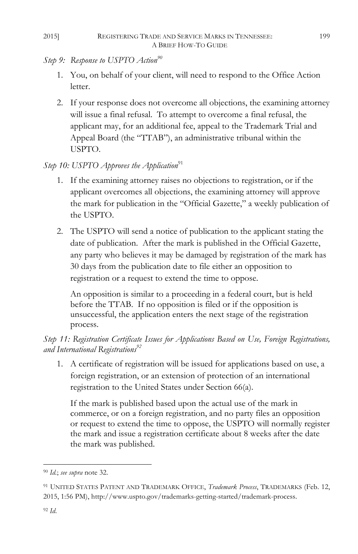- *Step 9:* Response to USPTO Action<sup>90</sup>
	- 1. You, on behalf of your client, will need to respond to the Office Action letter.
	- 2. If your response does not overcome all objections, the examining attorney will issue a final refusal. To attempt to overcome a final refusal, the applicant may, for an additional fee, appeal to the Trademark Trial and Appeal Board (the "TTAB"), an administrative tribunal within the USPTO.

## *Step 10: USPTO Approves the Application*<sup>91</sup>

- 1. If the examining attorney raises no objections to registration, or if the applicant overcomes all objections, the examining attorney will approve the mark for publication in the "Official Gazette," a weekly publication of the USPTO.
- 2. The USPTO will send a notice of publication to the applicant stating the date of publication. After the mark is published in the Official Gazette, any party who believes it may be damaged by registration of the mark has 30 days from the publication date to file either an opposition to registration or a request to extend the time to oppose.

An opposition is similar to a proceeding in a federal court, but is held before the TTAB. If no opposition is filed or if the opposition is unsuccessful, the application enters the next stage of the registration process.

*Step 11: Registration Certificate Issues for Applications Based on Use, Foreign Registrations, and International Registrations*<sup>92</sup>

1. A certificate of registration will be issued for applications based on use, a foreign registration, or an extension of protection of an international registration to the United States under Section 66(a).

If the mark is published based upon the actual use of the mark in commerce, or on a foreign registration, and no party files an opposition or request to extend the time to oppose, the USPTO will normally register the mark and issue a registration certificate about 8 weeks after the date the mark was published.

 $\overline{a}$ <sup>90</sup> *Id.*; *see supra* note 32.

<sup>91</sup> UNITED STATES PATENT AND TRADEMARK OFFICE, *Trademark Process*, TRADEMARKS (Feb. 12, 2015, 1:56 PM), http://www.uspto.gov/trademarks-getting-started/trademark-process.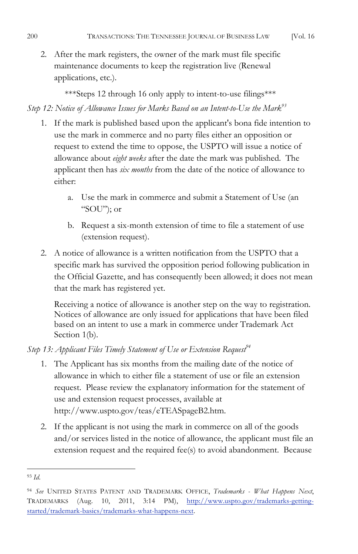2. After the mark registers, the owner of the mark must file specific maintenance documents to keep the registration live (Renewal applications, etc.).

\*\*\*Steps 12 through 16 only apply to intent-to-use filings\*\*\* *Step 12: Notice of Allowance Issues for Marks Based on an Intent-to-Use the Mark<sup>93</sup>* 

- 1. If the mark is published based upon the applicant's bona fide intention to use the mark in commerce and no party files either an opposition or request to extend the time to oppose, the USPTO will issue a notice of allowance about *eight weeks* after the date the mark was published. The applicant then has *six months* from the date of the notice of allowance to either:
	- a. Use the mark in commerce and submit a Statement of Use (an "SOU"); or
	- b. Request a six-month extension of time to file a statement of use (extension request).
- 2. A notice of allowance is a written notification from the USPTO that a specific mark has survived the opposition period following publication in the Official Gazette, and has consequently been allowed; it does not mean that the mark has registered yet.

Receiving a notice of allowance is another step on the way to registration. Notices of allowance are only issued for applications that have been filed based on an intent to use a mark in commerce under Trademark Act Section 1(b).

## *Step 13: Applicant Files Timely Statement of Use or Extension Request*<sup>44</sup>

- 1. The Applicant has six months from the mailing date of the notice of allowance in which to either file a statement of use or file an extension request. Please review the explanatory information for the statement of use and extension request processes, available at http://www.uspto.gov/teas/eTEASpageB2.htm.
- 2. If the applicant is not using the mark in commerce on all of the goods and/or services listed in the notice of allowance, the applicant must file an extension request and the required fee(s) to avoid abandonment. Because

 $\overline{a}$ <sup>93</sup> *Id*.

<sup>94</sup> *See* UNITED STATES PATENT AND TRADEMARK OFFICE, *Trademarks - What Happens Next*, TRADEMARKS (Aug. 10, 2011, 3:14 PM), http://www.uspto.gov/trademarks-gettingstarted/trademark-basics/trademarks-what-happens-next.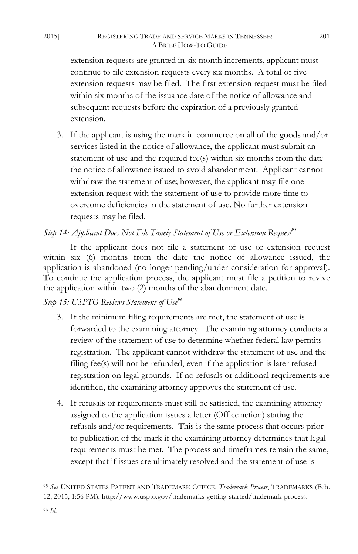extension requests are granted in six month increments, applicant must continue to file extension requests every six months. A total of five extension requests may be filed. The first extension request must be filed within six months of the issuance date of the notice of allowance and subsequent requests before the expiration of a previously granted extension.

3. If the applicant is using the mark in commerce on all of the goods and/or services listed in the notice of allowance, the applicant must submit an statement of use and the required fee(s) within six months from the date the notice of allowance issued to avoid abandonment. Applicant cannot withdraw the statement of use; however, the applicant may file one extension request with the statement of use to provide more time to overcome deficiencies in the statement of use. No further extension requests may be filed.

## *Step 14: Applicant Does Not File Timely Statement of Use or Extension Request*<sup>95</sup>

If the applicant does not file a statement of use or extension request within six (6) months from the date the notice of allowance issued, the application is abandoned (no longer pending/under consideration for approval). To continue the application process, the applicant must file a petition to revive the application within two (2) months of the abandonment date.

## *Step 15: USPTO Reviews Statement of Use96*

- 3. If the minimum filing requirements are met, the statement of use is forwarded to the examining attorney. The examining attorney conducts a review of the statement of use to determine whether federal law permits registration. The applicant cannot withdraw the statement of use and the filing fee(s) will not be refunded, even if the application is later refused registration on legal grounds. If no refusals or additional requirements are identified, the examining attorney approves the statement of use.
- 4. If refusals or requirements must still be satisfied, the examining attorney assigned to the application issues a letter (Office action) stating the refusals and/or requirements. This is the same process that occurs prior to publication of the mark if the examining attorney determines that legal requirements must be met. The process and timeframes remain the same, except that if issues are ultimately resolved and the statement of use is

 $\overline{a}$ <sup>95</sup> *See* UNITED STATES PATENT AND TRADEMARK OFFICE, *Trademark Process*, TRADEMARKS (Feb. 12, 2015, 1:56 PM), http://www.uspto.gov/trademarks-getting-started/trademark-process.